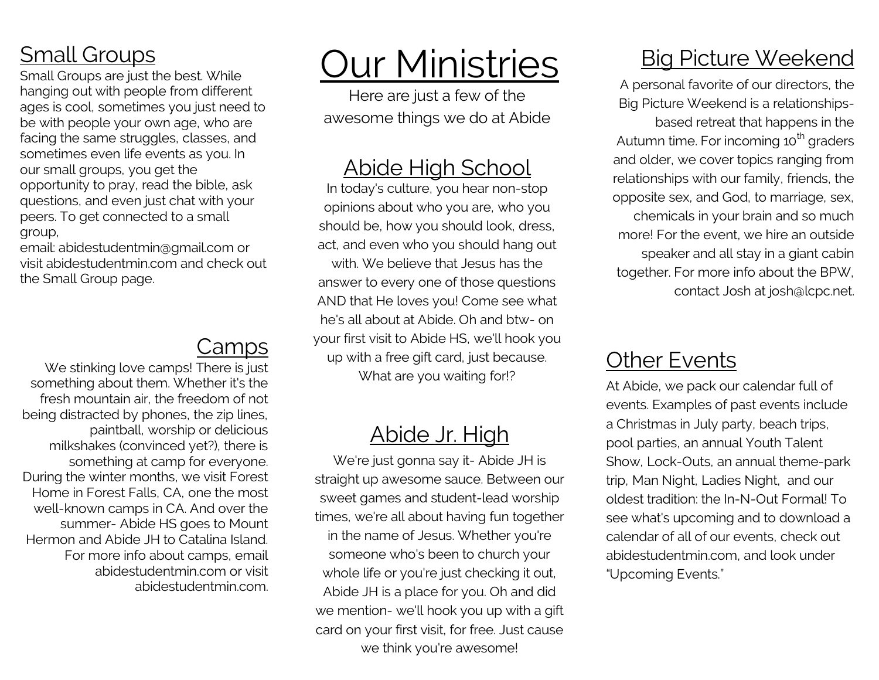### Small Groups

Small Groups are just the best. While hanging out with people from different ages is cool, sometimes you just need to be with people your own age, who are facing the same struggles, classes, and sometimes even life events as you. In our small groups, you get the opportunity to pray, read the bible, ask questions, and even just chat with your peers. To get connected to a small group,

email: abidestudentmin@gmail.com or visit abidestudentmin.com and check out the Small Group page.

### Camps

We stinking love camps! There is just something about them. Whether it's the fresh mountain air, the freedom of not being distracted by phones, the zip lines, paintball, worship or delicious milkshakes (convinced yet?), there is something at camp for everyone. During the winter months, we visit Forest Home in Forest Falls, CA, one the most well-known camps in CA. And over the summer- Abide HS goes to Mount Hermon and Abide JH to Catalina Island. For more info about camps, email abidestudentmin.com or visit abidestudentmin.com.

# Our Ministries

Here are just a few of the awesome things we do at Abide

#### Abide High School

In today's culture, you hear non-stop opinions about who you are, who you should be, how you should look, dress, act, and even who you should hang out with. We believe that Jesus has the answer to every one of those questions AND that He loves you! Come see what he's all about at Abide. Oh and btw- on your first visit to Abide HS, we'll hook you up with a free gift card, just because. What are you waiting for!?

#### Abide Jr. High

We're just gonna say it- Abide JH is straight up awesome sauce. Between our sweet games and student-lead worship times, we're all about having fun together in the name of Jesus. Whether you're someone who's been to church your whole life or you're just checking it out, Abide JH is a place for you. Oh and did we mention- we'll hook you up with a gift card on your first visit, for free. Just cause we think you're awesome!

### Big Picture Weekend

A personal favorite of our directors, the Big Picture Weekend is a relationshipsbased retreat that happens in the Autumn time. For incoming 10<sup>th</sup> graders and older, we cover topics ranging from relationships with our family, friends, the opposite sex, and God, to marriage, sex, chemicals in your brain and so much more! For the event, we hire an outside speaker and all stay in a giant cabin together. For more info about the BPW, contact Josh at josh@lcpc.net.

#### **Other Events**

At Abide, we pack our calendar full of events. Examples of past events include a Christmas in July party, beach trips, pool parties, an annual Youth Talent Show, Lock-Outs, an annual theme-park trip, Man Night, Ladies Night, and our oldest tradition: the In-N-Out Formal! To see what's upcoming and to download a calendar of all of our events, check out abidestudentmin.com, and look under "Upcoming Events."